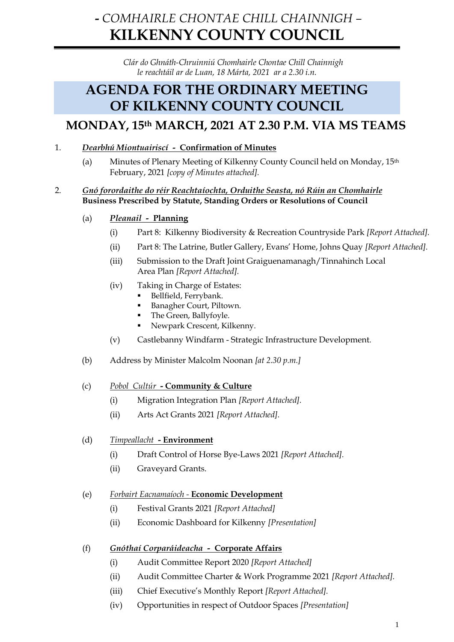# **-** *COMHAIRLE CHONTAE CHILL CHAINNIGH –* **KILKENNY COUNTY COUNCIL**

*Clár do Ghnáth-Chruinniú Chomhairle Chontae Chill Chainnigh le reachtáil ar de Luan, 18 Márta, 2021 ar a 2.30 i.n.*

## **AGENDA FOR THE ORDINARY MEETING OF KILKENNY COUNTY COUNCIL**

## **MONDAY, 15th MARCH, 2021 AT 2.30 P.M. VIA MS TEAMS**

- 1. *Dearbhú Miontuairiscí* **Confirmation of Minutes**
	- (a) Minutes of Plenary Meeting of Kilkenny County Council held on Monday, 15th February, 2021 *[copy of Minutes attached].*

## 2. *Gnó forordaithe do réir Reachtaíochta, Orduithe Seasta, nó Rúin an Chomhairle* **Business Prescribed by Statute, Standing Orders or Resolutions of Council**

- (a) *Pleanail* **Planning**
	- (i) Part 8: Kilkenny Biodiversity & Recreation Countryside Park *[Report Attached].*
	- (ii) Part 8: The Latrine, Butler Gallery, Evans' Home, Johns Quay *[Report Attached].*
	- (iii) Submission to the Draft Joint Graiguenamanagh/Tinnahinch Local Area Plan *[Report Attached].*
	- (iv) Taking in Charge of Estates:
		- Bellfield, Ferrybank.
		- Banagher Court, Piltown.
		- The Green, Ballyfoyle.
		- Newpark Crescent, Kilkenny.
	- (v) Castlebanny Windfarm Strategic Infrastructure Development*.*
- (b) Address by Minister Malcolm Noonan *[at 2.30 p.m.]*
- (c) *Pobol Cultúr* **- Community & Culture**
	- (i) Migration Integration Plan *[Report Attached].*
	- (ii) Arts Act Grants 2021 *[Report Attached].*

## (d) *Timpeallacht* **- Environment**

- (i) Draft Control of Horse Bye-Laws 2021 *[Report Attached].*
- (ii) Graveyard Grants.

## (e) *Forbairt Eacnamaíoch -* **Economic Development**

- (i) Festival Grants 2021 *[Report Attached]*
- (ii) Economic Dashboard for Kilkenny *[Presentation]*

## (f) *Gnóthaí Corparáideacha -* **Corporate Affairs**

- (i) Audit Committee Report 2020 *[Report Attached]*
- (ii) Audit Committee Charter & Work Programme 2021 *[Report Attached].*
- (iii) Chief Executive's Monthly Report *[Report Attached].*
- (iv) Opportunities in respect of Outdoor Spaces *[Presentation]*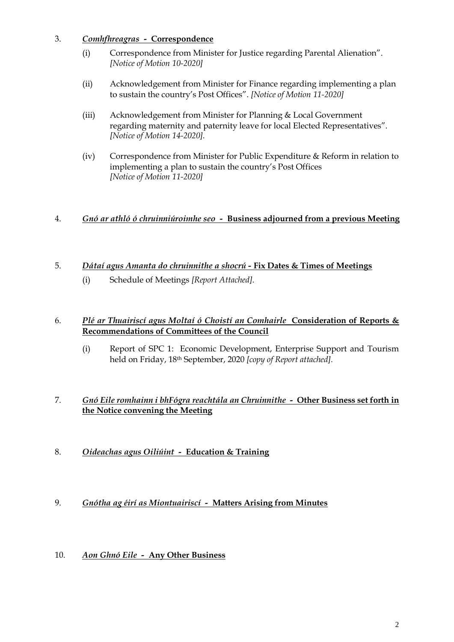- 3. *Comhfhreagras* **Correspondence**
	- (i) Correspondence from Minister for Justice regarding Parental Alienation". *[Notice of Motion 10-2020]*
	- (ii) Acknowledgement from Minister for Finance regarding implementing a plan to sustain the country's Post Offices". *[Notice of Motion 11-2020]*
	- (iii) Acknowledgement from Minister for Planning & Local Government regarding maternity and paternity leave for local Elected Representatives". *[Notice of Motion 14-2020].*
	- (iv) Correspondence from Minister for Public Expenditure & Reform in relation to implementing a plan to sustain the country's Post Offices *[Notice of Motion 11-2020]*

## 4. *Gnó ar athló ó chruinniúroimhe seo -* **Business adjourned from a previous Meeting**

- 5. *Dátaí agus Amanta do chruinnithe a shocrú -* **Fix Dates & Times of Meetings**
	- (i) Schedule of Meetings *[Report Attached].*

## 6. *Plé ar Thuairiscí agus Moltaí ó Choistí an Comhairle* **Consideration of Reports & Recommendations of Committees of the Council**

(i) Report of SPC 1: Economic Development, Enterprise Support and Tourism held on Friday, 18th September, 2020 *[copy of Report attached].*

## 7. *Gnó Eile romhainn i bhFógra reachtála an Chruinnithe -* **Other Business set forth in the Notice convening the Meeting**

- 8. *Oideachas agus Oiliúint* **Education & Training**
- 9. *Gnótha ag éirí as Miontuairiscí* **Matters Arising from Minutes**
- 10. *Aon Ghnó Eile* **Any Other Business**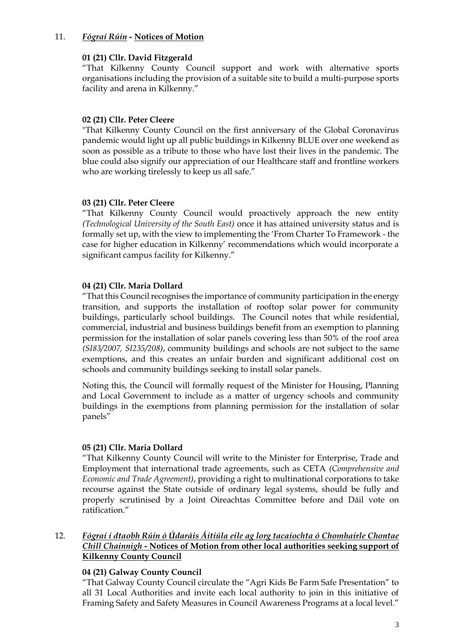#### 11. *Fógraí Rúin -* **Notices of Motion**

#### **01 (21) Cllr. David Fitzgerald**

"That Kilkenny County Council support and work with alternative sports organisations including the provision of a suitable site to build a multi-purpose sports facility and arena in Kilkenny."

### **02 (21) Cllr. Peter Cleere**

"That Kilkenny County Council on the first anniversary of the Global Coronavirus pandemic would light up all public buildings in Kilkenny BLUE over one weekend as soon as possible as a tribute to those who have lost their lives in the pandemic. The blue could also signify our appreciation of our Healthcare staff and frontline workers who are working tirelessly to keep us all safe."

#### **03 (21) Cllr. Peter Cleere**

"That Kilkenny County Council would proactively approach the new entity *(Technological University of the South East)* once it has attained university status and is formally set up, with the view to implementing the 'From Charter To Framework - the case for higher education in Kilkenny' recommendations which would incorporate a significant campus facility for Kilkenny."

## **04 (21) Cllr. Maria Dollard**

"That this Council recognises the importance of community participation in the energy transition, and supports the installation of rooftop solar power for community buildings, particularly school buildings. The Council notes that while residential, commercial, industrial and business buildings benefit from an exemption to planning permission for the installation of solar panels covering less than 50% of the roof area *(SI83/2007, SI235/208)*, community buildings and schools are not subject to the same exemptions, and this creates an unfair burden and significant additional cost on schools and community buildings seeking to install solar panels.

Noting this, the Council will formally request of the Minister for Housing, Planning and Local Government to include as a matter of urgency schools and community buildings in the exemptions from planning permission for the installation of solar panels"

## **05 (21) Cllr. Maria Dollard**

"That Kilkenny County Council will write to the Minister for Enterprise, Trade and Employment that international trade agreements, such as CETA *(Comprehensive and Economic and Trade Agreement)*, providing a right to multinational corporations to take recourse against the State outside of ordinary legal systems, should be fully and properly scrutinised by a Joint Oireachtas Committee before and Dáil vote on ratification."

## 12. *Fógraí i dtaobh Rúin ó Údaráis Áitiúla eile ag lorg tacaíochta ó Chomhairle Chontae Chill Chainnigh -* **Notices of Motion from other local authorities seeking support of Kilkenny County Council**

## **04 (21) Galway County Council**

"That Galway County Council circulate the "Agri Kids Be Farm Safe Presentation" to all 31 Local Authorities and invite each local authority to join in this initiative of Framing Safety and Safety Measures in Council Awareness Programs at a local level."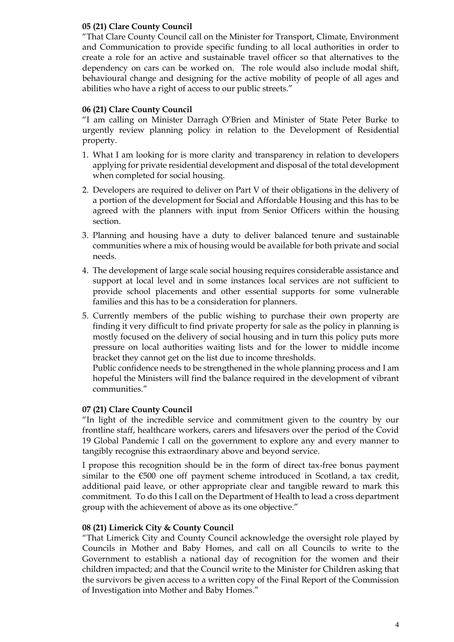## **05 (21) Clare County Council**

"That Clare County Council call on the Minister for Transport, Climate, Environment and Communication to provide specific funding to all local authorities in order to create a role for an active and sustainable travel officer so that alternatives to the dependency on cars can be worked on. The role would also include modal shift, behavioural change and designing for the active mobility of people of all ages and abilities who have a right of access to our public streets."

## **06 (21) Clare County Council**

"I am calling on Minister Darragh O'Brien and Minister of State Peter Burke to urgently review planning policy in relation to the Development of Residential property.

- 1. What I am looking for is more clarity and transparency in relation to developers applying for private residential development and disposal of the total development when completed for social housing.
- 2. Developers are required to deliver on Part V of their obligations in the delivery of a portion of the development for Social and Affordable Housing and this has to be agreed with the planners with input from Senior Officers within the housing section.
- 3. Planning and housing have a duty to deliver balanced tenure and sustainable communities where a mix of housing would be available for both private and social needs.
- 4. The development of large scale social housing requires considerable assistance and support at local level and in some instances local services are not sufficient to provide school placements and other essential supports for some vulnerable families and this has to be a consideration for planners.
- 5. Currently members of the public wishing to purchase their own property are finding it very difficult to find private property for sale as the policy in planning is mostly focused on the delivery of social housing and in turn this policy puts more pressure on local authorities waiting lists and for the lower to middle income bracket they cannot get on the list due to income thresholds.

Public confidence needs to be strengthened in the whole planning process and I am hopeful the Ministers will find the balance required in the development of vibrant communities."

#### **07 (21) Clare County Council**

"In light of the incredible service and commitment given to the country by our frontline staff, healthcare workers, carers and lifesavers over the period of the Covid 19 Global Pandemic I call on the government to explore any and every manner to tangibly recognise this extraordinary above and beyond service.

I propose this recognition should be in the form of direct tax-free bonus payment similar to the €500 one off payment scheme introduced in Scotland, a tax credit, additional paid leave, or other appropriate clear and tangible reward to mark this commitment. To do this I call on the Department of Health to lead a cross department group with the achievement of above as its one objective."

#### **08 (21) Limerick City & County Council**

"That Limerick City and County Council acknowledge the oversight role played by Councils in Mother and Baby Homes, and call on all Councils to write to the Government to establish a national day of recognition for the women and their children impacted; and that the Council write to the Minister for Children asking that the survivors be given access to a written copy of the Final Report of the Commission of Investigation into Mother and Baby Homes."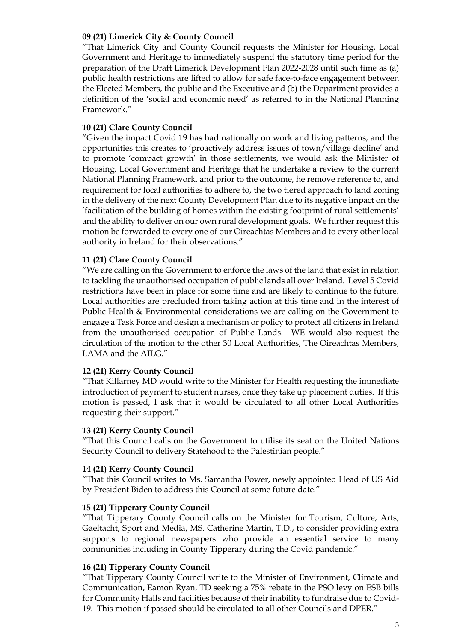#### **09 (21) Limerick City & County Council**

"That Limerick City and County Council requests the Minister for Housing, Local Government and Heritage to immediately suspend the statutory time period for the preparation of the Draft Limerick Development Plan 2022-2028 until such time as (a) public health restrictions are lifted to allow for safe face-to-face engagement between the Elected Members, the public and the Executive and (b) the Department provides a definition of the 'social and economic need' as referred to in the National Planning Framework."

#### **10 (21) Clare County Council**

"Given the impact Covid 19 has had nationally on work and living patterns, and the opportunities this creates to 'proactively address issues of town/village decline' and to promote 'compact growth' in those settlements, we would ask the Minister of Housing, Local Government and Heritage that he undertake a review to the current National Planning Framework, and prior to the outcome, he remove reference to, and requirement for local authorities to adhere to, the two tiered approach to land zoning in the delivery of the next County Development Plan due to its negative impact on the 'facilitation of the building of homes within the existing footprint of rural settlements' and the ability to deliver on our own rural development goals. We further request this motion be forwarded to every one of our Oireachtas Members and to every other local authority in Ireland for their observations."

#### **11 (21) Clare County Council**

"We are calling on the Government to enforce the laws of the land that exist in relation to tackling the unauthorised occupation of public lands all over Ireland. Level 5 Covid restrictions have been in place for some time and are likely to continue to the future. Local authorities are precluded from taking action at this time and in the interest of Public Health & Environmental considerations we are calling on the Government to engage a Task Force and design a mechanism or policy to protect all citizens in Ireland from the unauthorised occupation of Public Lands. WE would also request the circulation of the motion to the other 30 Local Authorities, The Oireachtas Members, LAMA and the AILG."

#### **12 (21) Kerry County Council**

"That Killarney MD would write to the Minister for Health requesting the immediate introduction of payment to student nurses, once they take up placement duties. If this motion is passed, I ask that it would be circulated to all other Local Authorities requesting their support."

#### **13 (21) Kerry County Council**

"That this Council calls on the Government to utilise its seat on the United Nations Security Council to delivery Statehood to the Palestinian people."

#### **14 (21) Kerry County Council**

"That this Council writes to Ms. Samantha Power, newly appointed Head of US Aid by President Biden to address this Council at some future date."

#### **15 (21) Tipperary County Council**

"That Tipperary County Council calls on the Minister for Tourism, Culture, Arts, Gaeltacht, Sport and Media, MS. Catherine Martin, T.D., to consider providing extra supports to regional newspapers who provide an essential service to many communities including in County Tipperary during the Covid pandemic."

#### **16 (21) Tipperary County Council**

"That Tipperary County Council write to the Minister of Environment, Climate and Communication, Eamon Ryan, TD seeking a 75% rebate in the PSO levy on ESB bills for Community Halls and facilities because of their inability to fundraise due to Covid-19. This motion if passed should be circulated to all other Councils and DPER."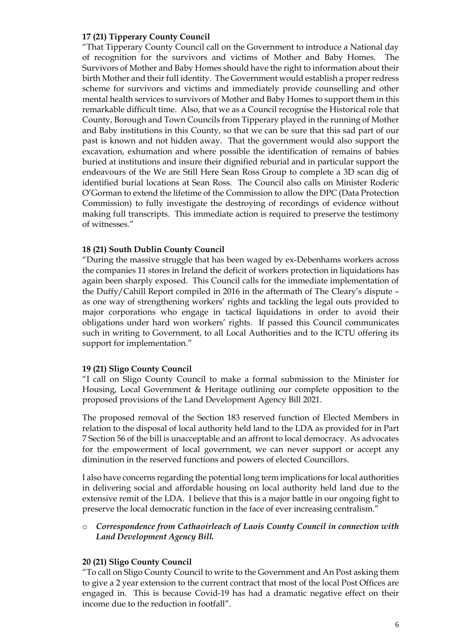#### **17 (21) Tipperary County Council**

"That Tipperary County Council call on the Government to introduce a National day of recognition for the survivors and victims of Mother and Baby Homes. The Survivors of Mother and Baby Homes should have the right to information about their birth Mother and their full identity. The Government would establish a proper redress scheme for survivors and victims and immediately provide counselling and other mental health services to survivors of Mother and Baby Homes to support them in this remarkable difficult time. Also, that we as a Council recognise the Historical role that County, Borough and Town Councils from Tipperary played in the running of Mother and Baby institutions in this County, so that we can be sure that this sad part of our past is known and not hidden away. That the government would also support the excavation, exhumation and where possible the identification of remains of babies buried at institutions and insure their dignified reburial and in particular support the endeavours of the We are Still Here Sean Ross Group to complete a 3D scan dig of identified burial locations at Sean Ross. The Council also calls on Minister Roderic O'Gorman to extend the lifetime of the Commission to allow the DPC (Data Protection Commission) to fully investigate the destroying of recordings of evidence without making full transcripts. This immediate action is required to preserve the testimony of witnesses."

#### **18 (21) South Dublin County Council**

"During the massive struggle that has been waged by ex-Debenhams workers across the companies 11 stores in Ireland the deficit of workers protection in liquidations has again been sharply exposed. This Council calls for the immediate implementation of the Duffy/Cahill Report compiled in 2016 in the aftermath of The Cleary's dispute – as one way of strengthening workers' rights and tackling the legal outs provided to major corporations who engage in tactical liquidations in order to avoid their obligations under hard won workers' rights. If passed this Council communicates such in writing to Government, to all Local Authorities and to the ICTU offering its support for implementation."

#### **19 (21) Sligo County Council**

"I call on Sligo County Council to make a formal submission to the Minister for Housing, Local Government & Heritage outlining our complete opposition to the proposed provisions of the Land Development Agency Bill 2021.

The proposed removal of the Section 183 reserved function of Elected Members in relation to the disposal of local authority held land to the LDA as provided for in Part 7 Section 56 of the bill is unacceptable and an affront to local democracy. As advocates for the empowerment of local government, we can never support or accept any diminution in the reserved functions and powers of elected Councillors.

I also have concerns regarding the potential long term implications for local authorities in delivering social and affordable housing on local authority held land due to the extensive remit of the LDA. I believe that this is a major battle in our ongoing fight to preserve the local democratic function in the face of ever increasing centralism."

#### o *Correspondence from Cathaoirleach of Laois County Council in connection with Land Development Agency Bill.*

#### **20 (21) Sligo County Council**

"To call on Sligo County Council to write to the Government and An Post asking them to give a 2 year extension to the current contract that most of the local Post Offices are engaged in. This is because Covid-19 has had a dramatic negative effect on their income due to the reduction in footfall".